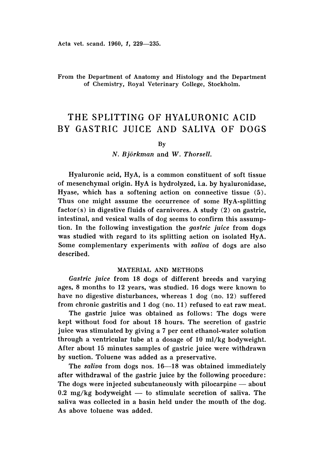## From the Department of Anatomy and Histology and the Department of Chemistry, Royal Veterinary College, Stockholm.

# THE SPLITTING OF HYALURONIC ACID BY GASTRIC JUICE AND SALIVA OF DOGS

By

*N. Bjorkman* and W. *Thorsell.*

Hyaluronic acid, HyA, is a common constituent of soft tissue of mesenchymal origin. HyA is hydrolyzed, i.a. by hyaluronidase, Hyase, which has a softening action on connective tissue (5). Thus one might assume the occurrence of some HyA-splitting  $factor(s)$  in digestive fluids of carnivores. A study  $(2)$  on gastric, intestinal, and vesical walls of dog seems to confirm this assumption. In the following investigation the *gastric juice* from dogs was studied with regard to its splitting action on isolated HyA. Some complementary experiments with *saliva* of dogs are also described.

## MATERIAL AND METHODS

*Gastric juice* from 18 dogs of different breeds and varying ages, 8 months to 12 years, was studied. 16 dogs were known to have no digestive disturbances, whereas 1 dog (no. 12) suffered from chronic gastritis and 1 dog (no. 11) refused to eat raw meat.

The gastric juice was obtained as follows: The dogs were kept without food for about 18 hours. The secretion of gastric juice was stimulated by giving a 7 per cent ethanol-water solution through a ventricular tube at a dosage of 10 ml/kg bodyweight. After about 15 minutes samples of gastric juice were withdrawn by suction. Toluene was added as a preservative.

The *saliva* from dogs nos. 16-18 was obtained immediately after withdrawal of the gastric juice by the following procedure : The dogs were injected subcutaneously with pilocarpine - about  $0.2 \text{ mg/kg}$  bodyweight  $-$  to stimulate secretion of saliva. The saliva was collected in a basin held under the mouth of the dog. As above toluene was added.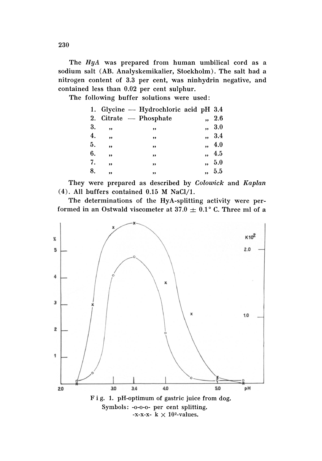The HyA was prepared from human umbilical cord as a sodium salt (AB. Analyskemikalier, Stockholm). The salt had a nitrogen content of 3.3 per cent, was ninhydrin negative, and contained less than 0.02 per cent sulphur.

The following buffer solutions were used:

|    |     | 1. Glycine — Hydrochloric acid pH 3.4 |                      |                  |
|----|-----|---------------------------------------|----------------------|------------------|
|    |     | 2. Citrate - Phosphate                | $\ddot{\phantom{0}}$ | $\phantom{0}2.6$ |
| 3. | ,,  | ,,                                    |                      | , 3.0            |
| 4. | ,   | ,,                                    |                      | ,, 3.4           |
| 5. | ,,  | ,,                                    | $\ddot{\phantom{0}}$ | - 4.0            |
| 6. | ,,  | ,,                                    | $\ddot{\phantom{0}}$ | -4.5             |
| 7. | , 1 | ,,                                    | .,                   | 5.0              |
| 8. | ,,  | ,,                                    |                      | ,, 5.5           |
|    |     |                                       |                      |                  |

 $(4)$ . All buffers contained 0.15 M NaCl/1.

The determinations of the HyA-splitting activity were performed in an Ostwald viscometer at 37.0  $\pm$  0.1° C. Three ml of a



-x-x-x- k  $\times$  10<sup>2</sup>-values.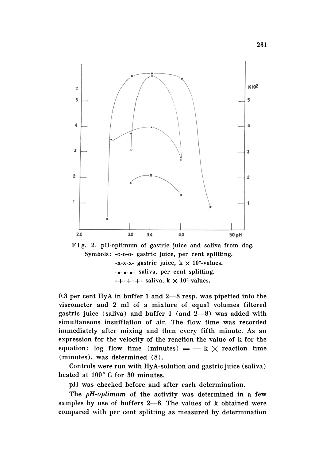

Fig. 2. pH-optimum of gastric juice and saliva from dog. Symbols: -0-0-0- gastric juice, per cent splitting. -x-x-x- gastric juice,  $k \times 10^{2}$ -values. -e-e-e- saliva, per cent splitting.  $-++++$ - saliva, k  $\times$  10<sup>2</sup>-values.

0.3 per cent HyA in buffer 1 and  $2-8$  resp. was pipetted into the viscometer and 2 ml of a mixture of equal volumes filtered gastric juice (saliva) and buffer  $1$  (and  $2-8$ ) was added with simultaneous insufflation of air. The flow time was recorded immediately after mixing and then every fifth minute. As an expression for the velocity of the reaction the value of k for the equation: log flow time (minutes)  $=$   $-$  k  $\times$  reaction time (minutes), was determined (8).

Controls were run with HyA-solution and gastric juice (saliva) heated at 100° C for 30 minutes.

pH was checked before and after each determination.

The *pH-optimum* of the activity was determined in a few samples by use of buffers 2-8. The values of k obtained were compared with per cent splitting as measured by determination

231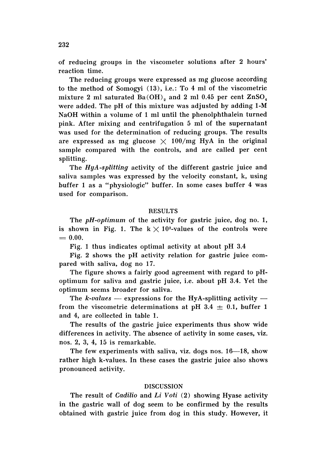of reducing groups in the viscometer solutions after 2 hours' reaction time.

The reducing groups were expressed as mg glucose according to the method of Somogyi (13), i.e.: To 4 ml of the viscometric mixture 2 ml saturated  $Ba(OH)$ <sub>2</sub> and 2 ml 0.45 per cent  $ZnSO<sub>4</sub>$ were added. The pH of this mixture was adjusted by adding 1-M NaOH within a volume of 1 ml until the phenolphthalein turned pink. After mixing and centrifugation 5 ml of the supernatant was used for the determination of reducing groups. The results are expressed as mg glucose  $\times$  100/mg HyA in the original sample compared with the controls, and are called per cent splitting.

The *HyA-splitting* activity of the different gastric juice and saliva samples was expressed by the velocity constant, k, using buffer 1 as a "physiologic" buffer. In some cases buffer 4 was used for comparison.

## **RESULTS**

The *pH*-optimum of the activity for gastric juice, dog no. 1, is shown in Fig. 1. The  $k \times 10^{2}$ -values of the controls were  $= 0.00.$ 

Fig. 1 thus indicates optimal activity at about pH 3.4

Fig. 2 shows the pH activity relation for gastric juice compared with saliva, dog no 17.

The figure shows a fairly good agreement with regard to pHoptimum for saliva and gastric juice, i.e. about pH 3.4. Yet the optimum seems broader for saliva.

The  $k$ -values  $-$  expressions for the HyA-splitting activity  $$ from the viscometric determinations at pH 3.4  $\pm$  0.1, buffer 1 and 4, are collected in table 1.

The results of the gastric juice experiments thus show wide differences in activity. The absence of activity in some cases, viz. nos. 2, 3, 4, 15 is remarkable.

The few experiments with saliva, viz. dogs nos.  $16-18$ , show rather high k-values. In these cases the gastric juice also shows pronounced activity.

#### DISCUSSION

The result of *Cadilio* and *Li Voti* (2) showing Hyase activity in the gastric wall of dog seem to be confirmed by the results obtained with gastric juice from dog in this study. However, it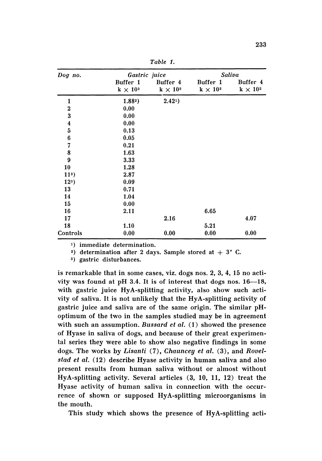| Dog no.                 | Gastric juice               |                                                   | Saliva                      |                             |  |
|-------------------------|-----------------------------|---------------------------------------------------|-----------------------------|-----------------------------|--|
|                         | Buffer 1<br>$k \times 10^2$ | Buffer 4<br>$\mathbf{k}\,\times\,10^{\mathrm{2}}$ | Buffer 1<br>$k \times 10^2$ | Buffer 4<br>$k \times 10^2$ |  |
| 1                       | $1.882$ )                   | 2.421)                                            |                             |                             |  |
| $\bf{2}$                | 0.00                        |                                                   |                             |                             |  |
| $\overline{\mathbf{3}}$ | 0.00                        |                                                   |                             |                             |  |
| $\boldsymbol{4}$        | 0.00                        |                                                   |                             |                             |  |
| $\mathbf 5$             | 0.13                        |                                                   |                             |                             |  |
| $\boldsymbol{6}$        | 0.05                        |                                                   |                             |                             |  |
| 7                       | 0.21                        |                                                   |                             |                             |  |
| 8                       | 1.63                        |                                                   |                             |                             |  |
| $\boldsymbol{9}$        | 3.33                        |                                                   |                             |                             |  |
| 10                      | 1.28                        |                                                   |                             |                             |  |
| $113$ )                 | 2.87                        |                                                   |                             |                             |  |
| $123$ )                 | 0.09                        |                                                   |                             |                             |  |
| 13                      | 0.71                        |                                                   |                             |                             |  |
| 14                      | 1.04                        |                                                   |                             |                             |  |
| 15                      | 0.00                        |                                                   |                             |                             |  |
| 16                      | 2.11                        |                                                   | 6.65                        |                             |  |
| 17                      |                             | 2.16                                              |                             | 4.07                        |  |
| 18                      | 1.10                        |                                                   | 5.21                        |                             |  |
| Controls                | 0.00                        | 0.00                                              | 0.00                        | 0.00                        |  |

*Table* 1.

1) immediate determination.

2) determination after 2 days. Sample stored at  $+3$ ° C.

3) gastric disturbances.

is remarkable that in some cases, viz. dogs nos. 2, 3, 4, 15 no activity was found at pH 3.4. It is of interest that dogs nos.  $16-18$ , with gastric juice HyA-splitting activity, also show such activity of saliva. It is not unlikely that the HyA-splitting activity of gastric juice and saliva are of the same origin. The similar pHoptimum of the two in the samples studied may be in agreement with such an assumption. *Bussard et al.* (1) showed the presence of Hyase in saliva of dogs, and because of their great experimental series they were able to show also negative findings in some dogs. The works by *Lisanti* (7), *Chauncey et al.* (3), and *Rooel siad et al,* (12) describe Hyase activity in human saliva and also present results from human saliva without or almost without HyA-splitting activity. Several articles (3, 10, 11, 12) treat the Hyase activity of human saliva in connection with the occurrence of shown or supposed HyA-splitting microorganisms in the mouth.

This study which shows the presence of HyA-splitting acti-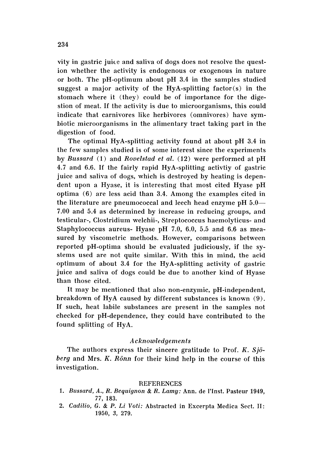vity in gastric juice and saliva of dogs does not resolve the question whether the activity is endogenous or exogenous in nature or both. The pH--optimum about pH 3.4 in the samples studied suggest a major activity of the HyA-splitting  $factor(s)$  in the stomach where it (they) could be of importance for the digestion of meat. If the activity is due to microorganisms, this could indicate that carnivores like herbivores (omnivores) have symbiotic microorganisms in the alimentary tract taking part in the digestion of food.

The optimal HyA-splitting activity found at about pH 3.4 in the few samples studied is of some interest since the experiments by *Bussard* (l) and *Rovelstad et al.* (12) were performed at pH 4.7 and 6.6. If the fairly rapid HyA-splitting activity of gastric juice and saliva of dogs, which is destroyed by heating is dependent upon a Hyase, it is interesting that most cited Hyase pH optima (6) are less acid than 3.4. Among the examples cited in the literature are pneumococcal and leech head enzyme pH  $5.0-$ 7.00 and 5.4 as determined by increase in reducing groups, and testicular-, Clostridium welchii-, Streptococcus haemolyticus- and Staphylococcus aureus- Hyase pH 7.0, 6.0, 5.5 and 6.6 as measured by viscometric methods. However, comparisons between reported pH-optima should be evaluated judiciously, if the systems used are not quite similar. With this in mind, the acid optimum of about 3.4 for the HyA-splitting activity of gastric juice and saliva of dogs could be due to another kind of Hyase than those cited.

It may be mentioned that also non-enzymic, pH-independent, breakdown of HyA caused by different substances is known (9) . If such, heat labile substances are present in the samples not checked for pH-dependence, they could have contributed to the found splitting of HyA.

## *Acknowledgements*

The authors express their sincere gratitude to Prof. K.  $Sj\ddot{o}$ *berg* and Mrs. *K. Riinn* for their kind help in the course of this investigation.

#### **REFERENCES**

- 1. *Bussard, A., R. Bequignon* & *R. Lamy :* Ann. de I'Inst. Pasteur 1949, 77, 183.
- 2. Cadilio, G. & P. Li Voti: Abstracted in Excerpta Medica Sect. II: 1950, 3, 279.